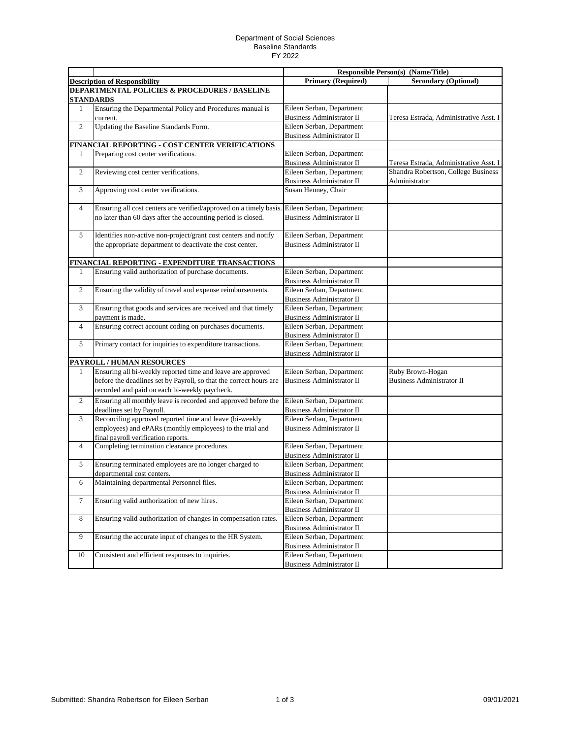## Department of Social Sciences Baseline Standards FY 2022

|                  |                                                                                              | <b>Responsible Person(s) (Name/Title)</b>                     |                                                      |
|------------------|----------------------------------------------------------------------------------------------|---------------------------------------------------------------|------------------------------------------------------|
|                  | <b>Description of Responsibility</b>                                                         | <b>Primary (Required)</b>                                     | <b>Secondary (Optional)</b>                          |
|                  | <b>DEPARTMENTAL POLICIES &amp; PROCEDURES / BASELINE</b>                                     |                                                               |                                                      |
|                  | <b>STANDARDS</b>                                                                             |                                                               |                                                      |
| $\mathbf{1}$     | Ensuring the Departmental Policy and Procedures manual is                                    | Eileen Serban, Department                                     |                                                      |
|                  | current.                                                                                     | <b>Business Administrator II</b>                              | Teresa Estrada, Administrative Asst. I               |
| $\overline{c}$   | Updating the Baseline Standards Form.                                                        | Eileen Serban, Department                                     |                                                      |
|                  |                                                                                              | <b>Business Administrator II</b>                              |                                                      |
|                  | FINANCIAL REPORTING - COST CENTER VERIFICATIONS                                              |                                                               |                                                      |
| 1                | Preparing cost center verifications.                                                         | Eileen Serban, Department                                     |                                                      |
|                  |                                                                                              | <b>Business Administrator II</b>                              | Teresa Estrada, Administrative Asst. I               |
| $\overline{2}$   | Reviewing cost center verifications.                                                         | Eileen Serban, Department                                     | Shandra Robertson, College Business                  |
|                  |                                                                                              | <b>Business Administrator II</b>                              | Administrator                                        |
| 3                | Approving cost center verifications.                                                         | Susan Henney, Chair                                           |                                                      |
| $\overline{4}$   | Ensuring all cost centers are verified/approved on a timely basis. Eileen Serban, Department |                                                               |                                                      |
|                  | no later than 60 days after the accounting period is closed.                                 | <b>Business Administrator II</b>                              |                                                      |
| 5                | Identifies non-active non-project/grant cost centers and notify                              | Eileen Serban, Department                                     |                                                      |
|                  | the appropriate department to deactivate the cost center.                                    | <b>Business Administrator II</b>                              |                                                      |
|                  |                                                                                              |                                                               |                                                      |
|                  | FINANCIAL REPORTING - EXPENDITURE TRANSACTIONS                                               |                                                               |                                                      |
| 1                | Ensuring valid authorization of purchase documents.                                          | Eileen Serban, Department                                     |                                                      |
|                  |                                                                                              | <b>Business Administrator II</b>                              |                                                      |
| $\overline{2}$   | Ensuring the validity of travel and expense reimbursements.                                  | Eileen Serban, Department                                     |                                                      |
|                  |                                                                                              | <b>Business Administrator II</b>                              |                                                      |
| 3                | Ensuring that goods and services are received and that timely                                | Eileen Serban, Department                                     |                                                      |
|                  | payment is made.                                                                             | Business Administrator II                                     |                                                      |
| 4                | Ensuring correct account coding on purchases documents.                                      | Eileen Serban, Department                                     |                                                      |
|                  |                                                                                              | <b>Business Administrator II</b>                              |                                                      |
| 5                | Primary contact for inquiries to expenditure transactions.                                   | Eileen Serban, Department                                     |                                                      |
|                  |                                                                                              | <b>Business Administrator II</b>                              |                                                      |
|                  | PAYROLL / HUMAN RESOURCES                                                                    |                                                               |                                                      |
| 1                | Ensuring all bi-weekly reported time and leave are approved                                  | Eileen Serban, Department                                     | Ruby Brown-Hogan<br><b>Business Administrator II</b> |
|                  | before the deadlines set by Payroll, so that the correct hours are                           | <b>Business Administrator II</b>                              |                                                      |
|                  | recorded and paid on each bi-weekly paycheck.                                                |                                                               |                                                      |
| 2                | Ensuring all monthly leave is recorded and approved before the                               | Eileen Serban, Department                                     |                                                      |
|                  | deadlines set by Payroll.                                                                    | <b>Business Administrator II</b>                              |                                                      |
| 3                | Reconciling approved reported time and leave (bi-weekly                                      | Eileen Serban, Department                                     |                                                      |
|                  | employees) and ePARs (monthly employees) to the trial and                                    | <b>Business Administrator II</b>                              |                                                      |
|                  | final payroll verification reports.                                                          |                                                               |                                                      |
| 4                | Completing termination clearance procedures.                                                 | Eileen Serban, Department<br><b>Business Administrator II</b> |                                                      |
|                  | Ensuring terminated employees are no longer charged to                                       | Eileen Serban, Department                                     |                                                      |
| 5                | departmental cost centers.                                                                   | <b>Business Administrator II</b>                              |                                                      |
|                  | Maintaining departmental Personnel files.                                                    | Eileen Serban, Department                                     |                                                      |
| 6                |                                                                                              | Business Administrator II                                     |                                                      |
| $\boldsymbol{7}$ | Ensuring valid authorization of new hires.                                                   | Eileen Serban, Department                                     |                                                      |
|                  |                                                                                              | Business Administrator II                                     |                                                      |
| $8\,$            | Ensuring valid authorization of changes in compensation rates.                               | Eileen Serban, Department                                     |                                                      |
|                  |                                                                                              | Business Administrator II                                     |                                                      |
| 9                | Ensuring the accurate input of changes to the HR System.                                     | Eileen Serban, Department                                     |                                                      |
|                  |                                                                                              | <b>Business Administrator II</b>                              |                                                      |
| 10               | Consistent and efficient responses to inquiries.                                             | Eileen Serban, Department                                     |                                                      |
|                  |                                                                                              | <b>Business Administrator II</b>                              |                                                      |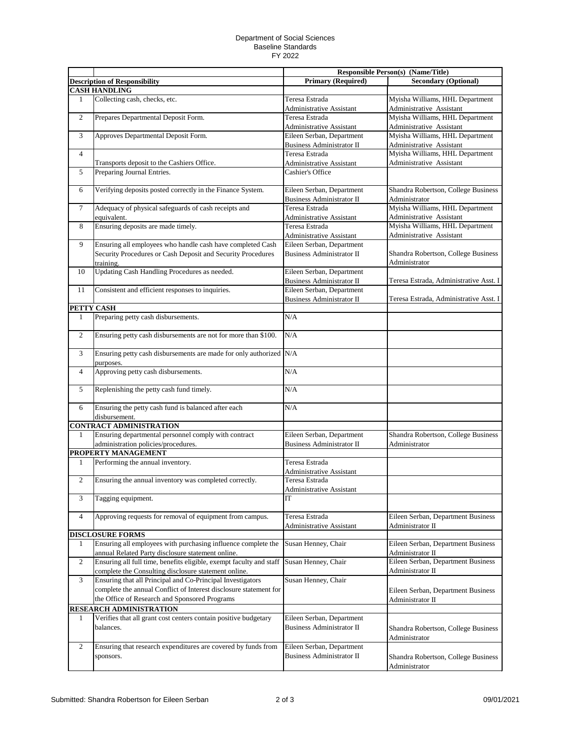## Department of Social Sciences Baseline Standards FY 2022

|                |                                                                                                                    | <b>Responsible Person(s) (Name/Title)</b>                     |                                                             |
|----------------|--------------------------------------------------------------------------------------------------------------------|---------------------------------------------------------------|-------------------------------------------------------------|
|                | <b>Description of Responsibility</b>                                                                               | <b>Primary (Required)</b>                                     | <b>Secondary (Optional)</b>                                 |
|                | <b>CASH HANDLING</b>                                                                                               |                                                               |                                                             |
| 1              | Collecting cash, checks, etc.                                                                                      | Teresa Estrada<br>Administrative Assistant                    | Myisha Williams, HHL Department<br>Administrative Assistant |
| $\sqrt{2}$     | Prepares Departmental Deposit Form.                                                                                | Teresa Estrada                                                | Myisha Williams, HHL Department                             |
|                |                                                                                                                    | Administrative Assistant                                      | Administrative Assistant                                    |
| 3              | Approves Departmental Deposit Form.                                                                                | Eileen Serban, Department<br><b>Business Administrator II</b> | Myisha Williams, HHL Department<br>Administrative Assistant |
| $\overline{4}$ |                                                                                                                    | Teresa Estrada                                                | Myisha Williams, HHL Department                             |
|                | Transports deposit to the Cashiers Office.                                                                         | <b>Administrative Assistant</b>                               | Administrative Assistant                                    |
| 5              | Preparing Journal Entries.                                                                                         | Cashier's Office                                              |                                                             |
| 6              | Verifying deposits posted correctly in the Finance System.                                                         | Eileen Serban, Department<br><b>Business Administrator II</b> | Shandra Robertson, College Business<br>Administrator        |
| $\tau$         | Adequacy of physical safeguards of cash receipts and                                                               | Teresa Estrada                                                | Myisha Williams, HHL Department                             |
|                | equivalent.                                                                                                        | <b>Administrative Assistant</b>                               | Administrative Assistant                                    |
| 8              | Ensuring deposits are made timely.                                                                                 | Teresa Estrada                                                | Myisha Williams, HHL Department                             |
|                |                                                                                                                    | Administrative Assistant                                      | Administrative Assistant                                    |
| 9              | Ensuring all employees who handle cash have completed Cash                                                         | Eileen Serban, Department                                     |                                                             |
|                | Security Procedures or Cash Deposit and Security Procedures                                                        | <b>Business Administrator II</b>                              | Shandra Robertson, College Business                         |
|                | training.                                                                                                          |                                                               | Administrator                                               |
| 10             | Updating Cash Handling Procedures as needed.                                                                       | Eileen Serban, Department                                     |                                                             |
|                |                                                                                                                    | <b>Business Administrator II</b>                              | Teresa Estrada, Administrative Asst. I                      |
| 11             | Consistent and efficient responses to inquiries.                                                                   | Eileen Serban, Department                                     |                                                             |
|                |                                                                                                                    | <b>Business Administrator II</b>                              | Teresa Estrada, Administrative Asst. I                      |
| PETTY CASH     |                                                                                                                    |                                                               |                                                             |
| 1              | Preparing petty cash disbursements.                                                                                | N/A                                                           |                                                             |
| $\overline{2}$ | Ensuring petty cash disbursements are not for more than \$100.                                                     | N/A                                                           |                                                             |
| $\mathfrak{Z}$ | Ensuring petty cash disbursements are made for only authorized N/A<br>purposes.                                    |                                                               |                                                             |
| $\overline{4}$ | Approving petty cash disbursements.                                                                                | N/A                                                           |                                                             |
| 5              | Replenishing the petty cash fund timely.                                                                           | N/A                                                           |                                                             |
| 6              | Ensuring the petty cash fund is balanced after each<br>disbursement.                                               | N/A                                                           |                                                             |
|                | <b>CONTRACT ADMINISTRATION</b>                                                                                     |                                                               |                                                             |
| 1              | Ensuring departmental personnel comply with contract                                                               | Eileen Serban, Department                                     | Shandra Robertson, College Business                         |
|                | administration policies/procedures.                                                                                | <b>Business Administrator II</b>                              | Administrator                                               |
|                | PROPERTY MANAGEMENT                                                                                                |                                                               |                                                             |
| $\mathbf{1}$   | Performing the annual inventory.                                                                                   | Teresa Estrada                                                |                                                             |
|                |                                                                                                                    | <b>Administrative Assistant</b>                               |                                                             |
| $\overline{2}$ | Ensuring the annual inventory was completed correctly.                                                             | Teresa Estrada<br>Administrative Assistant                    |                                                             |
| 3              | Tagging equipment.                                                                                                 | IT                                                            |                                                             |
|                |                                                                                                                    |                                                               |                                                             |
| $\overline{4}$ | Approving requests for removal of equipment from campus.                                                           | Teresa Estrada                                                | Eileen Serban, Department Business                          |
|                |                                                                                                                    | <b>Administrative Assistant</b>                               | Administrator II                                            |
|                | <b>DISCLOSURE FORMS</b>                                                                                            |                                                               |                                                             |
| 1              | Ensuring all employees with purchasing influence complete the<br>annual Related Party disclosure statement online. | Susan Henney, Chair                                           | Eileen Serban, Department Business<br>Administrator II      |
| $\overline{2}$ | Ensuring all full time, benefits eligible, exempt faculty and staff                                                | Susan Henney, Chair                                           | Eileen Serban, Department Business                          |
|                | complete the Consulting disclosure statement online.                                                               |                                                               | Administrator II                                            |
| 3              | Ensuring that all Principal and Co-Principal Investigators                                                         | Susan Henney, Chair                                           |                                                             |
|                | complete the annual Conflict of Interest disclosure statement for                                                  |                                                               | Eileen Serban, Department Business                          |
|                | the Office of Research and Sponsored Programs                                                                      |                                                               | Administrator II                                            |
|                | RESEARCH ADMINISTRATION                                                                                            |                                                               |                                                             |
| 1              | Verifies that all grant cost centers contain positive budgetary                                                    | Eileen Serban, Department                                     |                                                             |
|                | balances.                                                                                                          | <b>Business Administrator II</b>                              | Shandra Robertson, College Business<br>Administrator        |
| $\overline{2}$ | Ensuring that research expenditures are covered by funds from                                                      | Eileen Serban, Department                                     |                                                             |
|                | sponsors.                                                                                                          | <b>Business Administrator II</b>                              | Shandra Robertson, College Business<br>Administrator        |